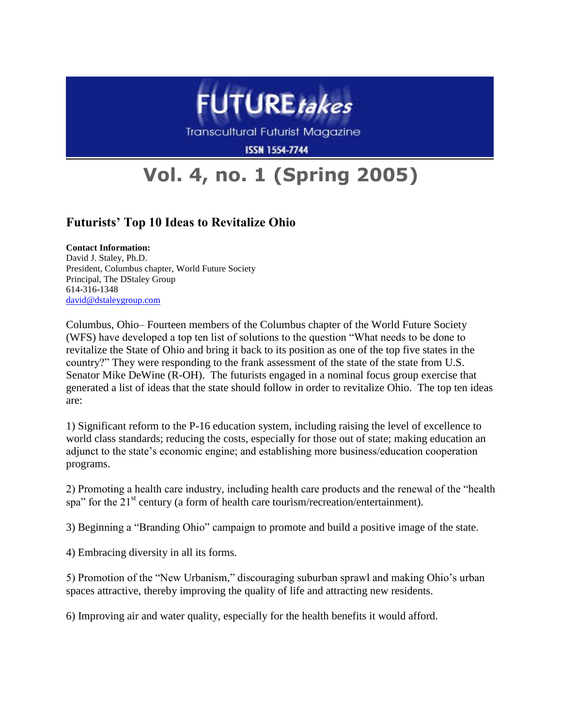

Transcultural Futurist Magazine

**ISSN 1554-7744** 

## **Vol. 4, no. 1 (Spring 2005)**

## **Futurists' Top 10 Ideas to Revitalize Ohio**

**Contact Information:** 

David J. Staley, Ph.D. President, Columbus chapter, World Future Society Principal, The DStaley Group 614-316-1348 [david@dstaleygroup.com](mailto:david@dstaleygroup.com)

Columbus, Ohio– Fourteen members of the Columbus chapter of the World Future Society (WFS) have developed a top ten list of solutions to the question "What needs to be done to revitalize the State of Ohio and bring it back to its position as one of the top five states in the country?" They were responding to the frank assessment of the state of the state from U.S. Senator Mike DeWine (R-OH). The futurists engaged in a nominal focus group exercise that generated a list of ideas that the state should follow in order to revitalize Ohio. The top ten ideas are:

1) Significant reform to the P-16 education system, including raising the level of excellence to world class standards; reducing the costs, especially for those out of state; making education an adjunct to the state's economic engine; and establishing more business/education cooperation programs.

2) Promoting a health care industry, including health care products and the renewal of the "health" spa" for the  $21<sup>st</sup>$  century (a form of health care tourism/recreation/entertainment).

3) Beginning a "Branding Ohio" campaign to promote and build a positive image of the state.

4) Embracing diversity in all its forms.

5) Promotion of the "New Urbanism," discouraging suburban sprawl and making Ohio's urban spaces attractive, thereby improving the quality of life and attracting new residents.

6) Improving air and water quality, especially for the health benefits it would afford.